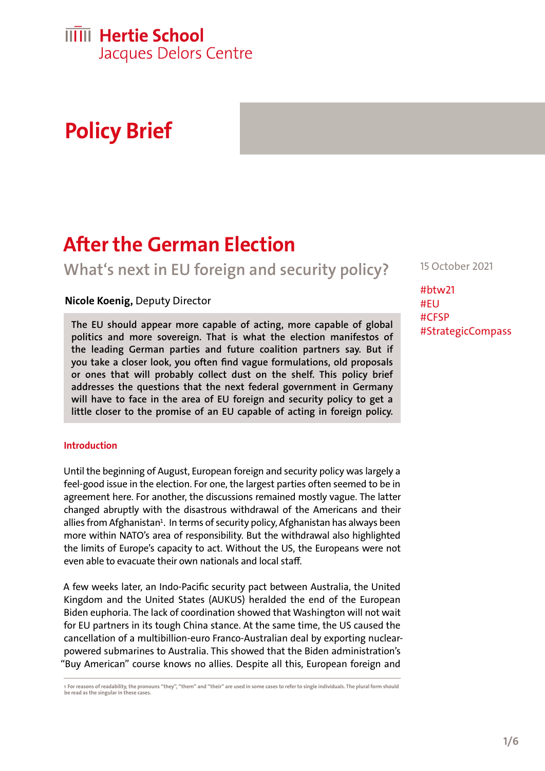# **Policy Brief**

## **After the German Election**

**What's next in EU foreign and security policy?** 

#### **Nicole Koenig,** Deputy Director

**The EU should appear more capable of acting, more capable of global politics and more sovereign. That is what the election manifestos of the leading German parties and future coalition partners say. But if you take a closer look, you often find vague formulations, old proposals or ones that will probably collect dust on the shelf. This policy brief addresses the questions that the next federal government in Germany will have to face in the area of EU foreign and security policy to get a little closer to the promise of an EU capable of acting in foreign policy.** 

#### **Introduction**

Until the beginning of August, European foreign and security policy was largely a feel-good issue in the election. For one, the largest parties often seemed to be in agreement here. For another, the discussions remained mostly vague. The latter changed abruptly with the disastrous withdrawal of the Americans and their allies from Afghanistan<sup>1</sup>. In terms of security policy, Afghanistan has always been more within NATO's area of responsibility. But the withdrawal also highlighted the limits of Europe's capacity to act. Without the US, the Europeans were not even able to evacuate their own nationals and local staff.

A few weeks later, an Indo-Pacific security pact between Australia, the United Kingdom and the United States (AUKUS) heralded the end of the European Biden euphoria. The lack of coordination showed that Washington will not wait for EU partners in its tough China stance. At the same time, the US caused the cancellation of a multibillion-euro Franco-Australian deal by exporting nuclearpowered submarines to Australia. This showed that the Biden administration's "Buy American" course knows no allies. Despite all this, European foreign and

**1 For reasons of readability, the pronouns "they", "them" and "their" are used in some cases to refer to single individuals. The plural form should be read as the singular in these cases.** 

15 October 2021

#btw21 #EU #CFSP #StrategicCompass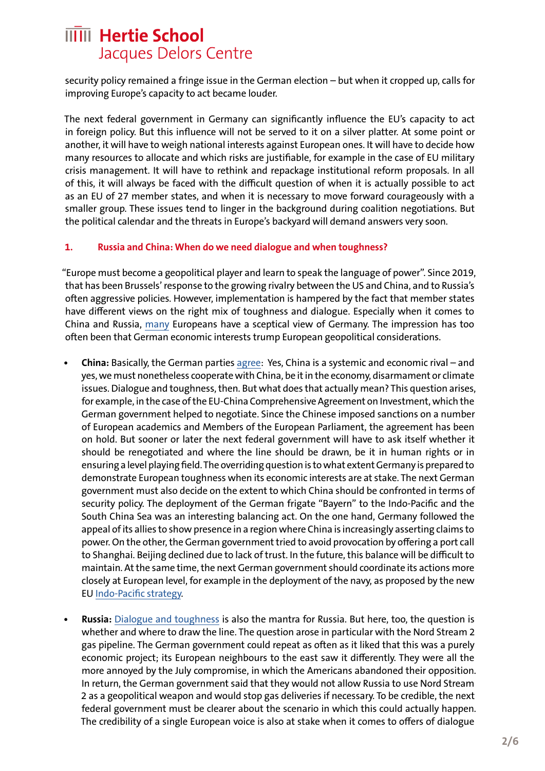security policy remained a fringe issue in the German election – but when it cropped up, calls for improving Europe's capacity to act became louder.

The next federal government in Germany can significantly influence the EU's capacity to act in foreign policy. But this influence will not be served to it on a silver platter. At some point or another, it will have to weigh national interests against European ones. It will have to decide how many resources to allocate and which risks are justifiable, for example in the case of EU military crisis management. It will have to rethink and repackage institutional reform proposals. In all of this, it will always be faced with the difficult question of when it is actually possible to act as an EU of 27 member states, and when it is necessary to move forward courageously with a smaller group. These issues tend to linger in the background during coalition negotiations. But the political calendar and the threats in Europe's backyard will demand answers very soon.

#### **1. Russia and China: When do we need dialogue and when toughness?**

"Europe must become a geopolitical player and learn to speak the language of power". Since 2019, that has been Brussels' response to the growing rivalry between the US and China, and to Russia's often aggressive policies. However, implementation is hampered by the fact that member states have different views on the right mix of toughness and dialogue. Especially when it comes to China and Russia, [many](https://ecfr.eu/publication/beyond-merkelism-what-europeans-expect-of-post-election-germany/) Europeans have a sceptical view of Germany. The impression has too often been that German economic interests trump European geopolitical considerations.

- **• China:** Basically, the German parties agree: Yes, China is a systemic and economic rival and yes, we must nonetheless cooperate with China, be it in the economy, disarmament or climate issues. Dialogue and toughness, then. But what does that actually mean? This question arises, for example, in the case of the EU-China Comprehensive Agreement on Investment, which the German government helped to negotiate. Since the Chinese imposed sanctions on a number of European academics and Members of the European Parliament, the agreement has been on hold. But sooner or later the next federal government will have to ask itself whether it should be renegotiated and where the line should be drawn, be it in human rights or in ensuring a level playing field. The overriding question is to what extent Germany is prepared to demonstrate European toughness when its economic interests are at stake. The next German government must also decide on the extent to which China should be confronted in terms of security policy. The deployment of the German frigate "Bayern" to the Indo-Pacific and the South China Sea was an interesting balancing act. On the one hand, Germany followed the appeal of its allies to show presence in a region where China is increasingly asserting claims to power. On the other, the German government tried to avoid provocation by offering a port call to Shanghai. Beijing declined due to lack of trust. In the future, this balance will be difficult to maintain. At the same time, the next German government should coordinate its actions more closely at European level, for example in the deployment of the navy, as proposed by the new EU [Indo-Pacific strategy.](https://eeas.europa.eu/sites/default/files/jointcommunication_2021_24_1_en.pdf)
- **• Russia:** [Dialogue and toughness](https://www.spiegel.de/politik/deutschland/umstrittene-ostsee-pipeline-armin-laschet-und-olaf-scholz-wollen-nord-stream-2-notfalls-stilllegen-a-c4a5a631-28a8-4706-866c-3e897948e7ec) is also the mantra for Russia. But here, too, the question is whether and where to draw the line. The question arose in particular with the Nord Stream 2 gas pipeline. The German government could repeat as often as it liked that this was a purely economic project; its European neighbours to the east saw it differently. They were all the more annoyed by the July compromise, in which the Americans abandoned their opposition. In return, the German government said that they would not allow Russia to use Nord Stream 2 as a geopolitical weapon and would stop gas deliveries if necessary. To be credible, the next federal government must be clearer about the scenario in which this could actually happen. The credibility of a single European voice is also at stake when it comes to offers of dialogue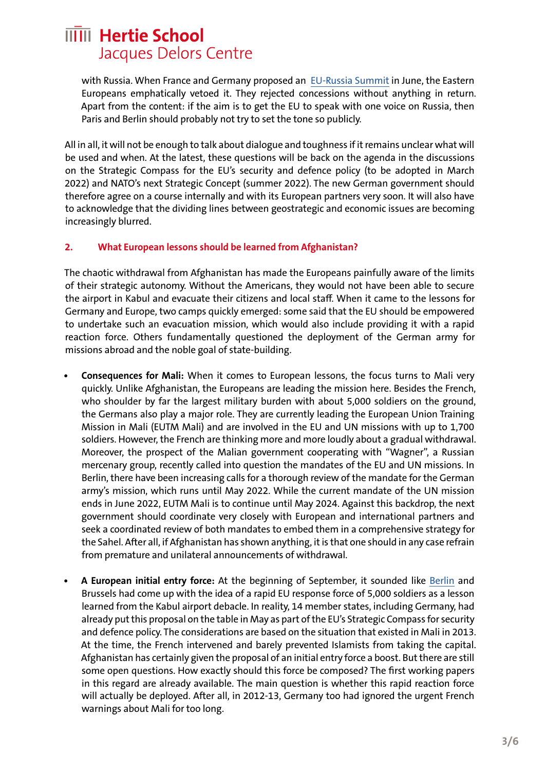with Russia. When France and Germany proposed an [EU-Russia Summit](https://www.tagesspiegel.de/politik/vorstoss-von-merkel-und-macron-russland-offen-fuer-gespraeche-mit-der-eu-die-ukraine-warnt-davor/27359940.html) in June, the Eastern Europeans emphatically vetoed it. They rejected concessions without anything in return. Apart from the content: if the aim is to get the EU to speak with one voice on Russia, then Paris and Berlin should probably not try to set the tone so publicly.

All in all, it will not be enough to talk about dialogue and toughness if it remains unclear what will be used and when. At the latest, these questions will be back on the agenda in the discussions on the Strategic Compass for the EU's security and defence policy (to be adopted in March 2022) and NATO's next Strategic Concept (summer 2022). The new German government should therefore agree on a course internally and with its European partners very soon. It will also have to acknowledge that the dividing lines between geostrategic and economic issues are becoming increasingly blurred.

#### **2. What European lessons should be learned from Afghanistan?**

The chaotic withdrawal from Afghanistan has made the Europeans painfully aware of the limits of their strategic autonomy. Without the Americans, they would not have been able to secure the airport in Kabul and evacuate their citizens and local staff. When it came to the lessons for Germany and Europe, two camps quickly emerged: some said that the EU should be empowered to undertake such an evacuation mission, which would also include providing it with a rapid reaction force. Others fundamentally questioned the deployment of the German army for missions abroad and the noble goal of state-building.

- **• Consequences for Mali:** When it comes to European lessons, the focus turns to Mali very quickly. Unlike Afghanistan, the Europeans are leading the mission here. Besides the French, who shoulder by far the largest military burden with about 5,000 soldiers on the ground, the Germans also play a major role. They are currently leading the European Union Training Mission in Mali (EUTM Mali) and are involved in the EU and UN missions with up to 1,700 soldiers. However, the French are thinking more and more loudly about a gradual withdrawal. Moreover, the prospect of the Malian government cooperating with "Wagner", a Russian mercenary group, recently called into question the mandates of the EU and UN missions. In Berlin, there have been increasing calls for a thorough review of the mandate for the German army's mission, which runs until May 2022. While the current mandate of the UN mission ends in June 2022, EUTM Mali is to continue until May 2024. Against this backdrop, the next government should coordinate very closely with European and international partners and seek a coordinated review of both mandates to embed them in a comprehensive strategy for the Sahel. After all, if Afghanistan has shown anything, it is that one should in any case refrain from premature and unilateral announcements of withdrawal.
- **• A European initial entry force:** At the beginning of September, it sounded like [Berlin](https://www.bundeswehr.de/de/aktuelles/meldungen/bilanz-evakuierung-kabul-ministerin-schnelle-einsatzgruppe-5217146) and Brussels had come up with the idea of a rapid EU response force of 5,000 soldiers as a lesson learned from the Kabul airport debacle. In reality, 14 member states, including Germany, had already put this proposal on the table in May as part of the EU's Strategic Compass for security and defence policy. The considerations are based on the situation that existed in Mali in 2013. At the time, the French intervened and barely prevented Islamists from taking the capital. Afghanistan has certainly given the proposal of an initial entry force a boost. But there are still some open questions. How exactly should this force be composed? The first working papers in this regard are already available. The main question is whether this rapid reaction force will actually be deployed. After all, in 2012-13, Germany too had ignored the urgent French warnings about Mali for too long.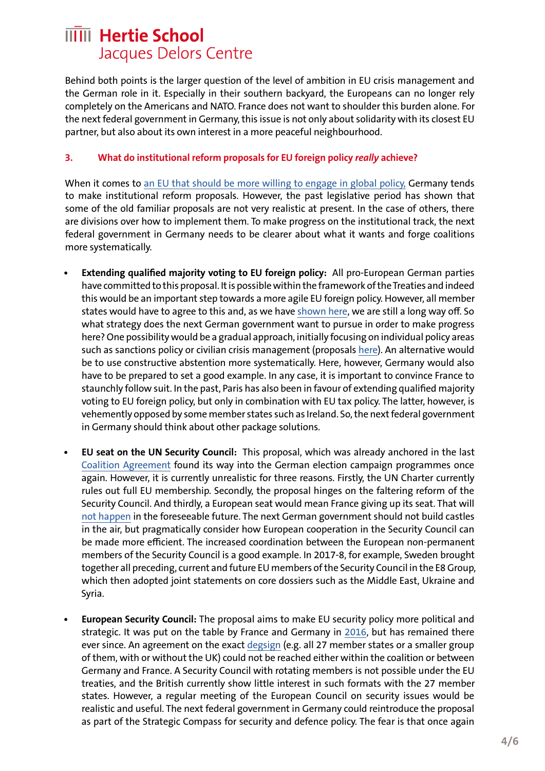Behind both points is the larger question of the level of ambition in EU crisis management and the German role in it. Especially in their southern backyard, the Europeans can no longer rely completely on the Americans and NATO. France does not want to shoulder this burden alone. For the next federal government in Germany, this issue is not only about solidarity with its closest EU partner, but also about its own interest in a more peaceful neighbourhood.

#### **3. What do institutional reform proposals for EU foreign policy** *really* **achieve?**

When it comes to [an EU that should be more willing to engage in global policy,](https://hertieschool-f4e6.kxcdn.com/fileadmin/user_upload/20181115_Weltpolitikfaehigkeit-Koenig.pdf) Germany tends to make institutional reform proposals. However, the past legislative period has shown that some of the old familiar proposals are not very realistic at present. In the case of others, there are divisions over how to implement them. To make progress on the institutional track, the next federal government in Germany needs to be clearer about what it wants and forge coalitions more systematically.

- **• Extending qualified majority voting to EU foreign policy:** All pro-European German parties have committed to this proposal. It is possible within the framework of the Treaties and indeed this would be an important step towards a more agile EU foreign policy. However, all member states would have to agree to this and, as we have [shown here,](https://hertieschool-f4e6.kxcdn.com/fileadmin/user_upload/20200210_Policy_Brief_QMV_Koenig.pdf) we are still a long way off. So what strategy does the next German government want to pursue in order to make progress here? One possibility would be a gradual approach, initially focusing on individual policy areas such as sanctions policy or civilian crisis management (proposals [her](https://hertieschool-f4e6.kxcdn.com/fileadmin/user_upload/20200210_Policy_Brief_QMV_Koenig.pdf)e). An alternative would be to use constructive abstention more systematically. Here, however, Germany would also have to be prepared to set a good example. In any case, it is important to convince France to staunchly follow suit. In the past, Paris has also been in favour of extending qualified majority voting to EU foreign policy, but only in combination with EU tax policy. The latter, however, is vehemently opposed by some member states such as Ireland. So, the next federal government in Germany should think about other package solutions.
- **• EU seat on the UN Security Council:** This proposal, which was already anchored in the last [Coalition Agreement](https://www.bundesregierung.de/resource/blob/974430/847984/5b8bc23590d4cb2892b31c987ad672b7/2018-03-14-koalitionsvertrag-data.pdf?download=1) found its way into the German election campaign programmes once again. However, it is currently unrealistic for three reasons. Firstly, the UN Charter currently rules out full EU membership. Secondly, the proposal hinges on the faltering reform of the Security Council. And thirdly, a European seat would mean France giving up its seat. That will [not happen](https://www.bloomberg.com/news/articles/2021-09-22/france-denies-daily-telegraph-report-it-could-give-up-unsc-seat) in the foreseeable future. The next German government should not build castles in the air, but pragmatically consider how European cooperation in the Security Council can be made more efficient. The increased coordination between the European non-permanent members of the Security Council is a good example. In 2017-8, for example, Sweden brought together all preceding, current and future EU members of the Security Council in the E8 Group, which then adopted joint statements on core dossiers such as the Middle East, Ukraine and Syria.
- **• European Security Council:** The proposal aims to make EU security policy more political and strategic. It was put on the table by France and Germany in [2016](https://www.auswaertiges-amt.de/de/aussenpolitik/europa/160624-bm-am-fra-st/281698), but has remained there ever since. An agreement on the exact [degs](https://hertieschool-f4e6.kxcdn.com/fileadmin/user_upload/20181115_Weltpolitikfaehigkeit-Koenig.pdf)ign (e.g. all 27 member states or a smaller group of them, with or without the UK) could not be reached either within the coalition or between Germany and France. A Security Council with rotating members is not possible under the EU treaties, and the British currently show little interest in such formats with the 27 member states. However, a regular meeting of the European Council on security issues would be realistic and useful. The next federal government in Germany could reintroduce the proposal as part of the Strategic Compass for security and defence policy. The fear is that once again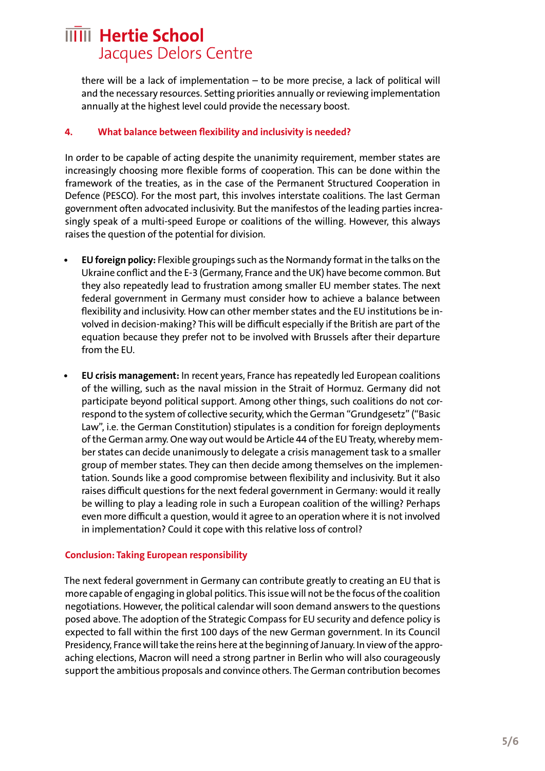there will be a lack of implementation – to be more precise, a lack of political will and the necessary resources. Setting priorities annually or reviewing implementation annually at the highest level could provide the necessary boost.

#### **4. What balance between flexibility and inclusivity is needed?**

In order to be capable of acting despite the unanimity requirement, member states are increasingly choosing more flexible forms of cooperation. This can be done within the framework of the treaties, as in the case of the Permanent Structured Cooperation in Defence (PESCO). For the most part, this involves interstate coalitions. The last German government often advocated inclusivity. But the manifestos of the leading parties increasingly speak of a multi-speed Europe or coalitions of the willing. However, this always raises the question of the potential for division.

- **• EU foreign policy:** Flexible groupings such as the Normandy format in the talks on the Ukraine conflict and the E-3 (Germany, France and the UK) have become common. But they also repeatedly lead to frustration among smaller EU member states. The next federal government in Germany must consider how to achieve a balance between flexibility and inclusivity. How can other member states and the EU institutions be involved in decision-making? This will be difficult especially if the British are part of the equation because they prefer not to be involved with Brussels after their departure from the EU.
- **• EU crisis management:** In recent years, France has repeatedly led European coalitions of the willing, such as the naval mission in the Strait of Hormuz. Germany did not participate beyond political support. Among other things, such coalitions do not correspond to the system of collective security, which the German "Grundgesetz" ("Basic Law", i.e. the German Constitution) stipulates is a condition for foreign deployments of the German army. One way out would be Article 44 of the EU Treaty, whereby member states can decide unanimously to delegate a crisis management task to a smaller group of member states. They can then decide among themselves on the implementation. Sounds like a good compromise between flexibility and inclusivity. But it also raises difficult questions for the next federal government in Germany: would it really be willing to play a leading role in such a European coalition of the willing? Perhaps even more difficult a question, would it agree to an operation where it is not involved in implementation? Could it cope with this relative loss of control?

#### **Conclusion: Taking European responsibility**

The next federal government in Germany can contribute greatly to creating an EU that is more capable of engaging in global politics. This issue will not be the focus of the coalition negotiations. However, the political calendar will soon demand answers to the questions posed above. The adoption of the Strategic Compass for EU security and defence policy is expected to fall within the first 100 days of the new German government. In its Council Presidency, France will take the reins here at the beginning of January. In view of the approaching elections, Macron will need a strong partner in Berlin who will also courageously support the ambitious proposals and convince others. The German contribution becomes